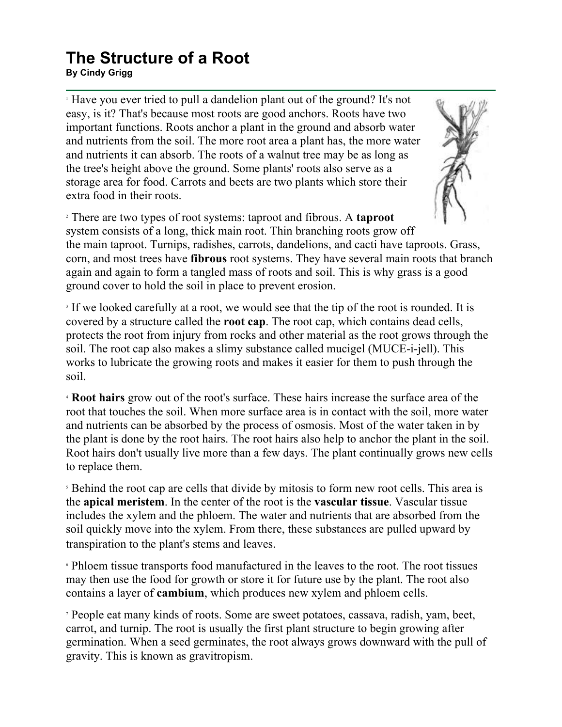## **The Structure of a Root**

**By Cindy Grigg**

<sup>1</sup> Have you ever tried to pull a dandelion plant out of the ground? It's not easy, is it? That's because most roots are good anchors. Roots have two important functions. Roots anchor a plant in the ground and absorb water and nutrients from the soil. The more root area a plant has, the more water and nutrients it can absorb. The roots of a walnut tree may be as long as the tree's height above the ground. Some plants' roots also serve as a storage area for food. Carrots and beets are two plants which store their extra food in their roots.



<sup>2</sup> There are two types of root systems: taproot and fibrous. A **taproot** system consists of a long, thick main root. Thin branching roots grow off the main taproot. Turnips, radishes, carrots, dandelions, and cacti have taproots. Grass, corn, and most trees have **fibrous** root systems. They have several main roots that branch again and again to form a tangled mass of roots and soil. This is why grass is a good ground cover to hold the soil in place to prevent erosion.

<sup>3</sup> If we looked carefully at a root, we would see that the tip of the root is rounded. It is covered by a structure called the **root cap**. The root cap, which contains dead cells, protects the root from injury from rocks and other material as the root grows through the soil. The root cap also makes a slimy substance called mucigel (MUCE-i-jell). This works to lubricate the growing roots and makes it easier for them to push through the soil.

<sup>4</sup> **Root hairs** grow out of the root's surface. These hairs increase the surface area of the root that touches the soil. When more surface area is in contact with the soil, more water and nutrients can be absorbed by the process of osmosis. Most of the water taken in by the plant is done by the root hairs. The root hairs also help to anchor the plant in the soil. Root hairs don't usually live more than a few days. The plant continually grows new cells to replace them.

<sup>5</sup> Behind the root cap are cells that divide by mitosis to form new root cells. This area is the **apical meristem**. In the center of the root is the **vascular tissue**. Vascular tissue includes the xylem and the phloem. The water and nutrients that are absorbed from the soil quickly move into the xylem. From there, these substances are pulled upward by transpiration to the plant's stems and leaves.

<sup>6</sup> Phloem tissue transports food manufactured in the leaves to the root. The root tissues may then use the food for growth or store it for future use by the plant. The root also contains a layer of **cambium**, which produces new xylem and phloem cells.

<sup>7</sup> People eat many kinds of roots. Some are sweet potatoes, cassava, radish, yam, beet, carrot, and turnip. The root is usually the first plant structure to begin growing after germination. When a seed germinates, the root always grows downward with the pull of gravity. This is known as gravitropism.